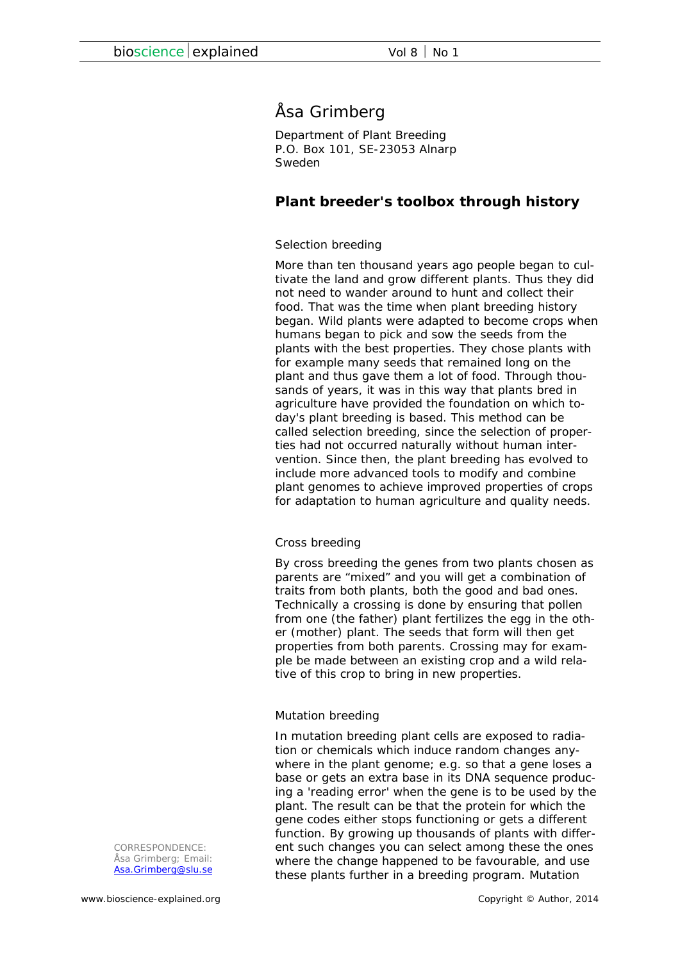# Åsa Grimberg

Department of Plant Breeding P.O. Box 101, SE-23053 Alnarp Sweden

## **Plant breeder's toolbox through history**

## *Selection breeding*

More than ten thousand years ago people began to cultivate the land and grow different plants. Thus they did not need to wander around to hunt and collect their food. That was the time when plant breeding history began. Wild plants were adapted to become crops when humans began to pick and sow the seeds from the plants with the best properties. They chose plants with for example many seeds that remained long on the plant and thus gave them a lot of food. Through thousands of years, it was in this way that plants bred in agriculture have provided the foundation on which today's plant breeding is based. This method can be called selection breeding, since the selection of properties had not occurred naturally without human intervention. Since then, the plant breeding has evolved to include more advanced tools to modify and combine plant genomes to achieve improved properties of crops for adaptation to human agriculture and quality needs.

## *Cross breeding*

By cross breeding the genes from two plants chosen as parents are "mixed" and you will get a combination of traits from both plants, both the good and bad ones. Technically a crossing is done by ensuring that pollen from one (the father) plant fertilizes the egg in the other (mother) plant. The seeds that form will then get properties from both parents. Crossing may for example be made between an existing crop and a wild relative of this crop to bring in new properties.

## *Mutation breeding*

In mutation breeding plant cells are exposed to radiation or chemicals which induce random changes anywhere in the plant genome; *e.g.* so that a gene loses a base or gets an extra base in its DNA sequence producing a 'reading error' when the gene is to be used by the plant. The result can be that the protein for which the gene codes either stops functioning or gets a different function. By growing up thousands of plants with different such changes you can select among these the ones where the change happened to be favourable, and use these plants further in a breeding program. Mutation

*CORRESPONDENCE: Åsa Grimberg; Email: Asa.Grimberg@slu.se*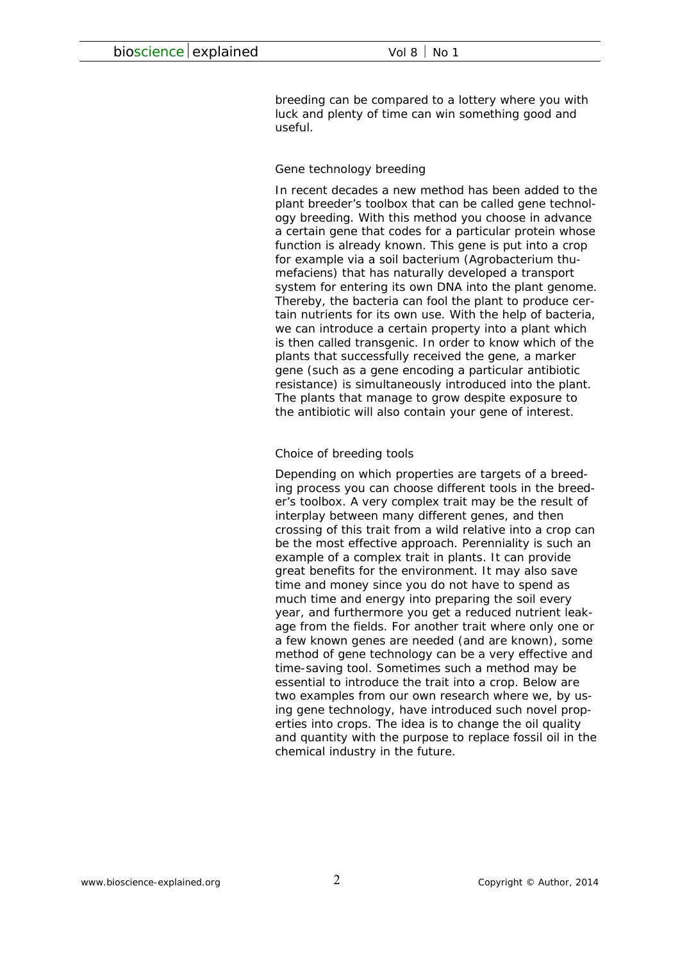breeding can be compared to a lottery where you with luck and plenty of time can win something good and useful.

#### *Gene technology breeding*

In recent decades a new method has been added to the plant breeder's toolbox that can be called gene technology breeding. With this method you choose in advance a certain gene that codes for a particular protein whose function is already known. This gene is put into a crop for example via a soil bacterium (*Agrobacterium thumefaciens*) that has naturally developed a transport system for entering its own DNA into the plant genome. Thereby, the bacteria can fool the plant to produce certain nutrients for its own use. With the help of bacteria, we can introduce a certain property into a plant which is then called *transgenic*. In order to know which of the plants that successfully received the gene, a marker gene (such as a gene encoding a particular antibiotic resistance) is simultaneously introduced into the plant. The plants that manage to grow despite exposure to the antibiotic will also contain your gene of interest.

#### *Choice of breeding tools*

Depending on which properties are targets of a breeding process you can choose different tools in the breeder's toolbox. A very complex trait may be the result of interplay between many different genes, and then crossing of this trait from a wild relative into a crop can be the most effective approach. Perenniality is such an example of a complex trait in plants. It can provide great benefits for the environment. It may also save time and money since you do not have to spend as much time and energy into preparing the soil every year, and furthermore you get a reduced nutrient leakage from the fields. For another trait where only one or a few known genes are needed (and are known), some method of gene technology can be a very effective and time-saving tool. Sometimes such a method may be essential to introduce the trait into a crop. Below are two examples from our own research where we, by using gene technology, have introduced such novel properties into crops. The idea is to change the oil quality and quantity with the purpose to replace fossil oil in the chemical industry in the future.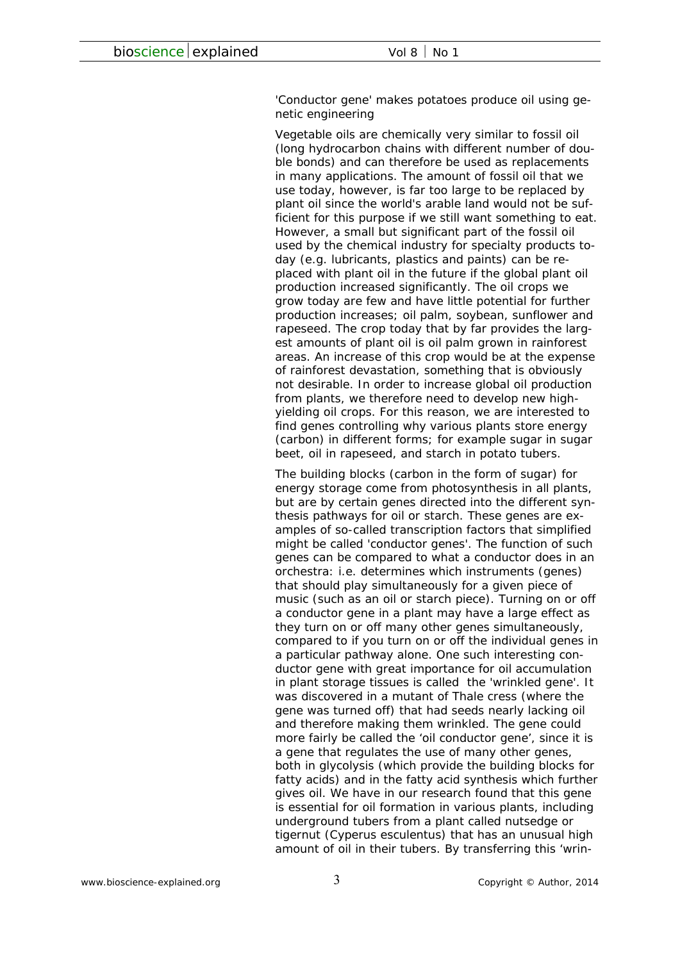#### *'Conductor gene' makes potatoes produce oil using genetic engineering*

Vegetable oils are chemically very similar to fossil oil (long hydrocarbon chains with different number of double bonds) and can therefore be used as replacements in many applications. The amount of fossil oil that we use today, however, is far too large to be replaced by plant oil since the world's arable land would not be sufficient for this purpose if we still want something to eat. However, a small but significant part of the fossil oil used by the chemical industry for specialty products today (*e.g.* lubricants, plastics and paints) can be replaced with plant oil in the future if the global plant oil production increased significantly. The oil crops we grow today are few and have little potential for further production increases; oil palm, soybean, sunflower and rapeseed. The crop today that by far provides the largest amounts of plant oil is oil palm grown in rainforest areas. An increase of this crop would be at the expense of rainforest devastation, something that is obviously not desirable. In order to increase global oil production from plants, we therefore need to develop new highyielding oil crops. For this reason, we are interested to find genes controlling why various plants store energy (carbon) in different forms; for example sugar in sugar beet, oil in rapeseed, and starch in potato tubers.

The building blocks (carbon in the form of sugar) for energy storage come from photosynthesis in all plants, but are by certain genes directed into the different synthesis pathways for oil or starch. These genes are examples of so-called transcription factors that simplified might be called 'conductor genes'. The function of such genes can be compared to what a conductor does in an orchestra: *i.e.* determines which instruments (genes) that should play simultaneously for a given piece of music (such as an oil or starch piece). Turning on or off a conductor gene in a plant may have a large effect as they turn on or off many other genes simultaneously, compared to if you turn on or off the individual genes in a particular pathway alone. One such interesting conductor gene with great importance for oil accumulation in plant storage tissues is called the 'wrinkled gene'. It was discovered in a mutant of Thale cress (where the gene was turned off) that had seeds nearly lacking oil and therefore making them wrinkled. The gene could more fairly be called the 'oil conductor gene', since it is a gene that regulates the use of many other genes, both in glycolysis (which provide the building blocks for fatty acids) and in the fatty acid synthesis which further gives oil. We have in our research found that this gene is essential for oil formation in various plants, including underground tubers from a plant called nutsedge or tigernut (*Cyperus esculentus*) that has an unusual high amount of oil in their tubers. By transferring this 'wrin-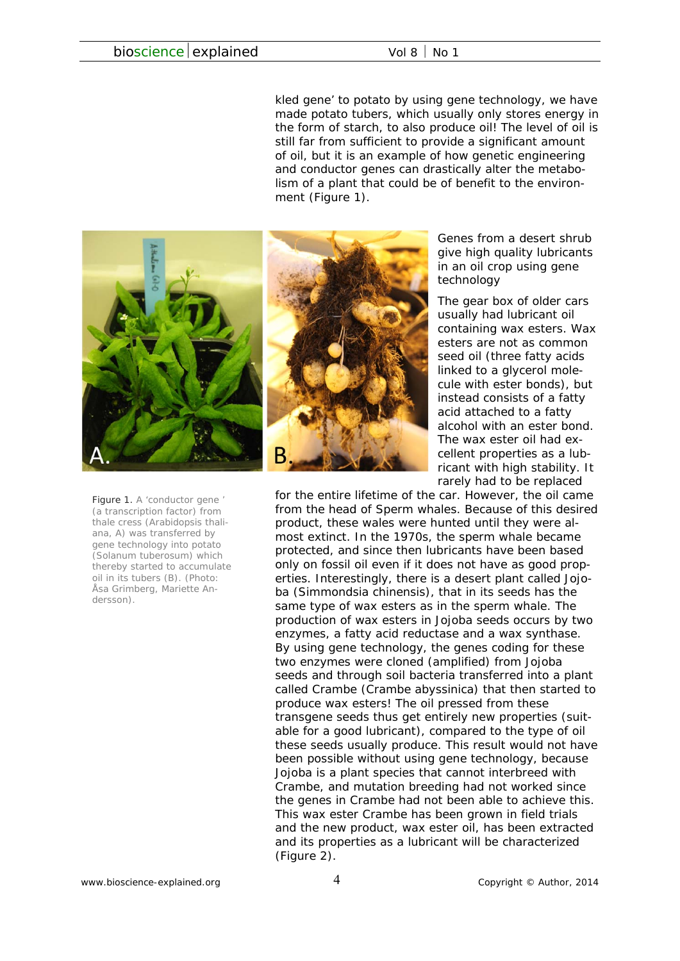kled gene' to potato by using gene technology, we have made potato tubers, which usually only stores energy in the form of starch, to also produce oil! The level of oil is still far from sufficient to provide a significant amount of oil, but it is an example of how genetic engineering and conductor genes can drastically alter the metabolism of a plant that could be of benefit to the environment (Figure 1).



*Figure 1. A 'conductor gene ' (a transcription factor) from thale cress (Arabidopsis thaliana, A) was transferred by gene technology into potato (Solanum tuberosum) which thereby started to accumulate oil in its tubers (B). (Photo: Åsa Grimberg, Mariette Andersson).* 



*Genes from a desert shrub give high quality lubricants in an oil crop using gene technology* 

The gear box of older cars usually had lubricant oil containing wax esters. Wax esters are not as common seed oil (three fatty acids linked to a glycerol molecule with ester bonds), but instead consists of a fatty acid attached to a fatty alcohol with an ester bond. The wax ester oil had excellent properties as a lubricant with high stability. It rarely had to be replaced

for the entire lifetime of the car. However, the oil came from the head of Sperm whales. Because of this desired product, these wales were hunted until they were almost extinct. In the 1970s, the sperm whale became protected, and since then lubricants have been based only on fossil oil even if it does not have as good properties. Interestingly, there is a desert plant called Jojoba (*Simmondsia chinensis*), that in its seeds has the same type of wax esters as in the sperm whale. The production of wax esters in Jojoba seeds occurs by two enzymes, a fatty acid reductase and a wax synthase. By using gene technology, the genes coding for these two enzymes were cloned (amplified) from Jojoba seeds and through soil bacteria transferred into a plant called Crambe (*Crambe abyssinica*) that then started to produce wax esters! The oil pressed from these transgene seeds thus get entirely new properties (suitable for a good lubricant), compared to the type of oil these seeds usually produce. This result would not have been possible without using gene technology, because Jojoba is a plant species that cannot interbreed with Crambe, and mutation breeding had not worked since the genes in Crambe had not been able to achieve this. This wax ester Crambe has been grown in field trials and the new product, wax ester oil, has been extracted and its properties as a lubricant will be characterized (Figure 2).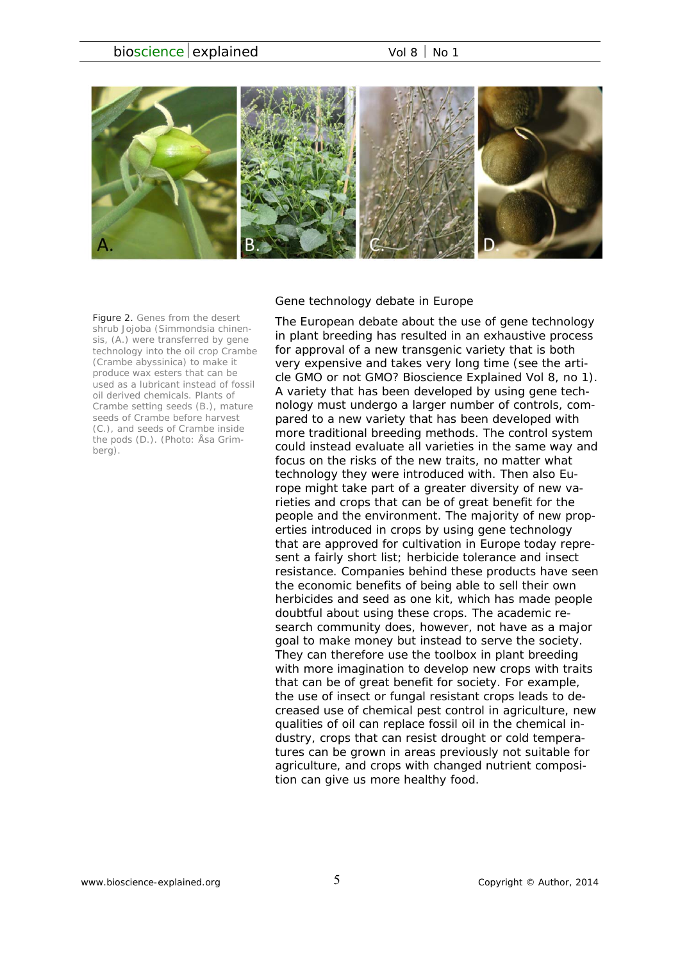

#### *Figure 2. Genes from the desert shrub Jojoba (Simmondsia chinensis, (A.) were transferred by gene technology into the oil crop Crambe (Crambe abyssinica) to make it produce wax esters that can be used as a lubricant instead of fossil oil derived chemicals. Plants of Crambe setting seeds (B.), mature seeds of Crambe before harvest (C.), and seeds of Crambe inside the pods (D.). (Photo: Åsa Grimberg).*

#### *Gene technology debate in Europe*

The European debate about the use of gene technology in plant breeding has resulted in an exhaustive process for approval of a new transgenic variety that is both very expensive and takes very long time (see the article *GMO or not GMO?* Bioscience Explained Vol 8, no 1). A variety that has been developed by using gene technology must undergo a larger number of controls, compared to a new variety that has been developed with more traditional breeding methods. The control system could instead evaluate all varieties in the same way and focus on the risks of the new traits, no matter what technology they were introduced with. Then also Europe might take part of a greater diversity of new varieties and crops that can be of great benefit for the people and the environment. The majority of new properties introduced in crops by using gene technology that are approved for cultivation in Europe today represent a fairly short list; herbicide tolerance and insect resistance. Companies behind these products have seen the economic benefits of being able to sell their own herbicides and seed as one kit, which has made people doubtful about using these crops. The academic research community does, however, not have as a major goal to make money but instead to serve the society. They can therefore use the toolbox in plant breeding with more imagination to develop new crops with traits that can be of great benefit for society. For example, the use of insect or fungal resistant crops leads to decreased use of chemical pest control in agriculture, new qualities of oil can replace fossil oil in the chemical industry, crops that can resist drought or cold temperatures can be grown in areas previously not suitable for agriculture, and crops with changed nutrient composition can give us more healthy food.